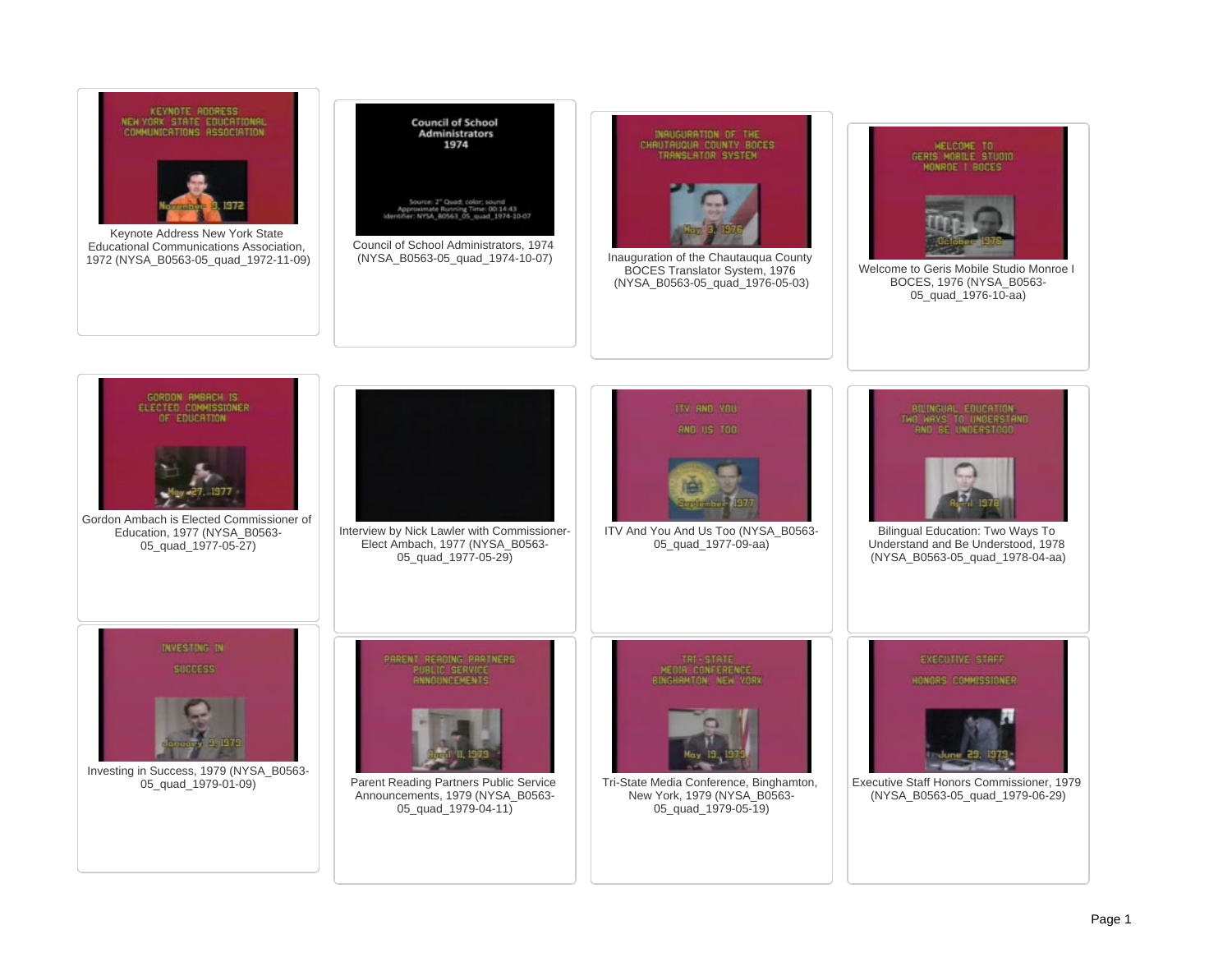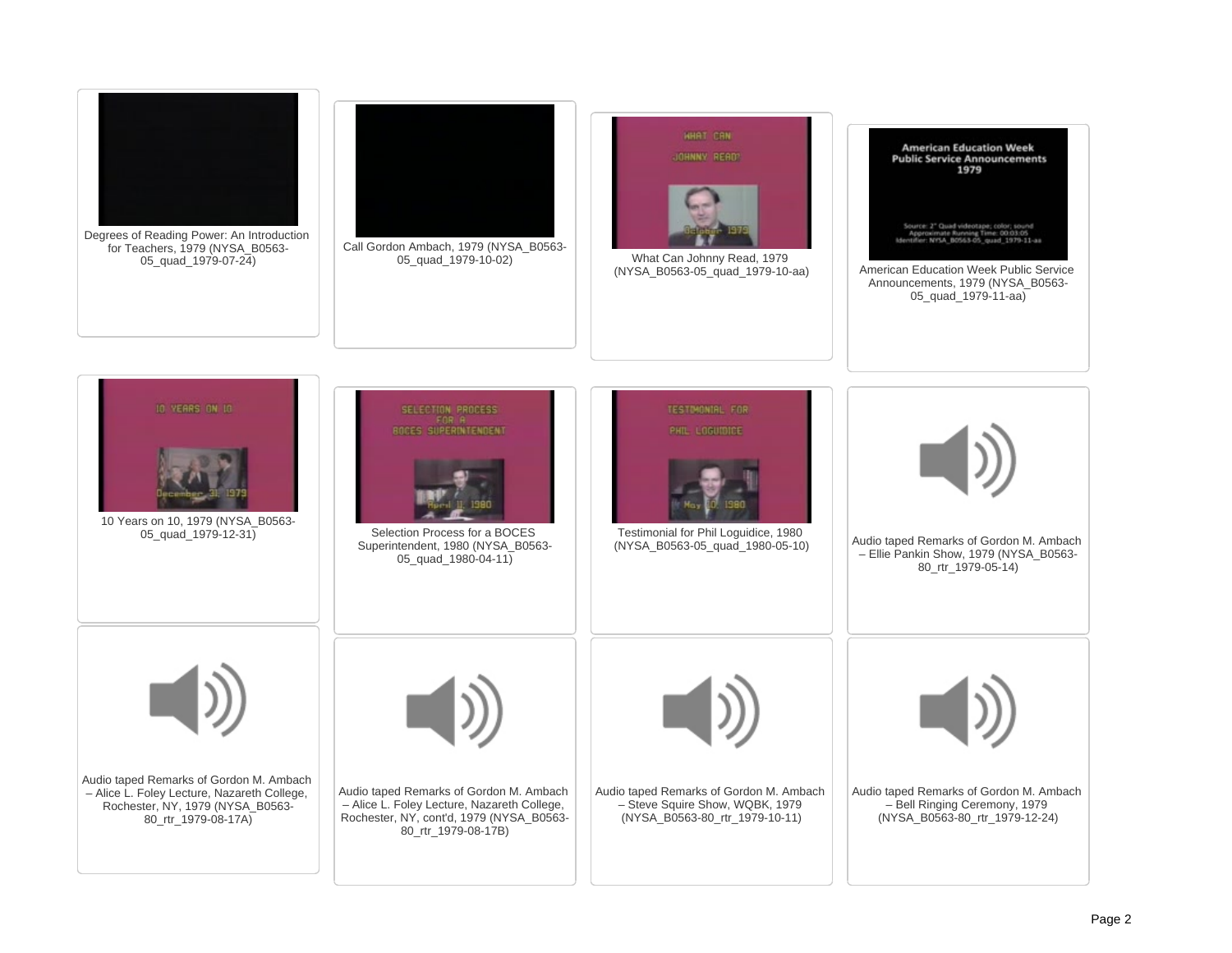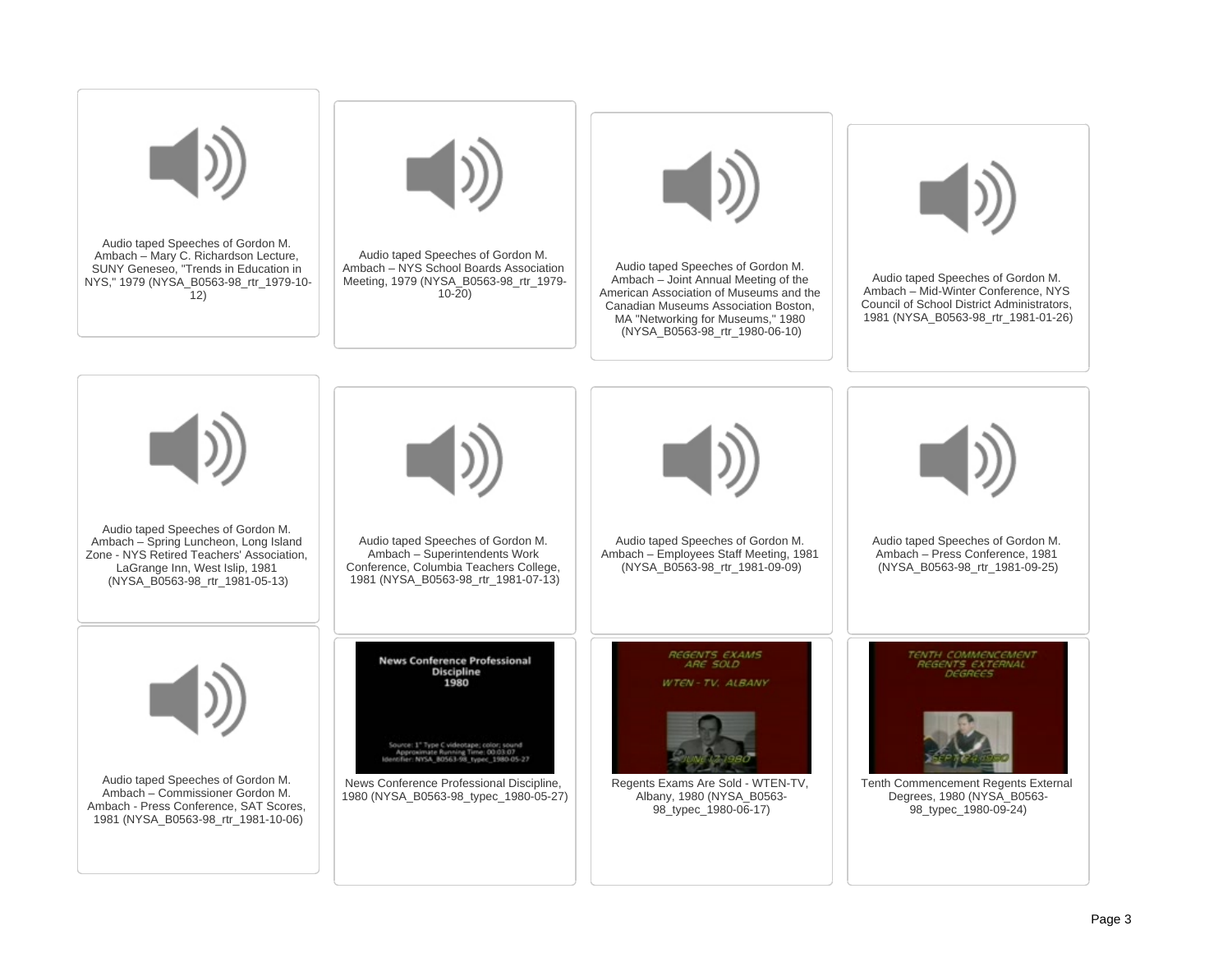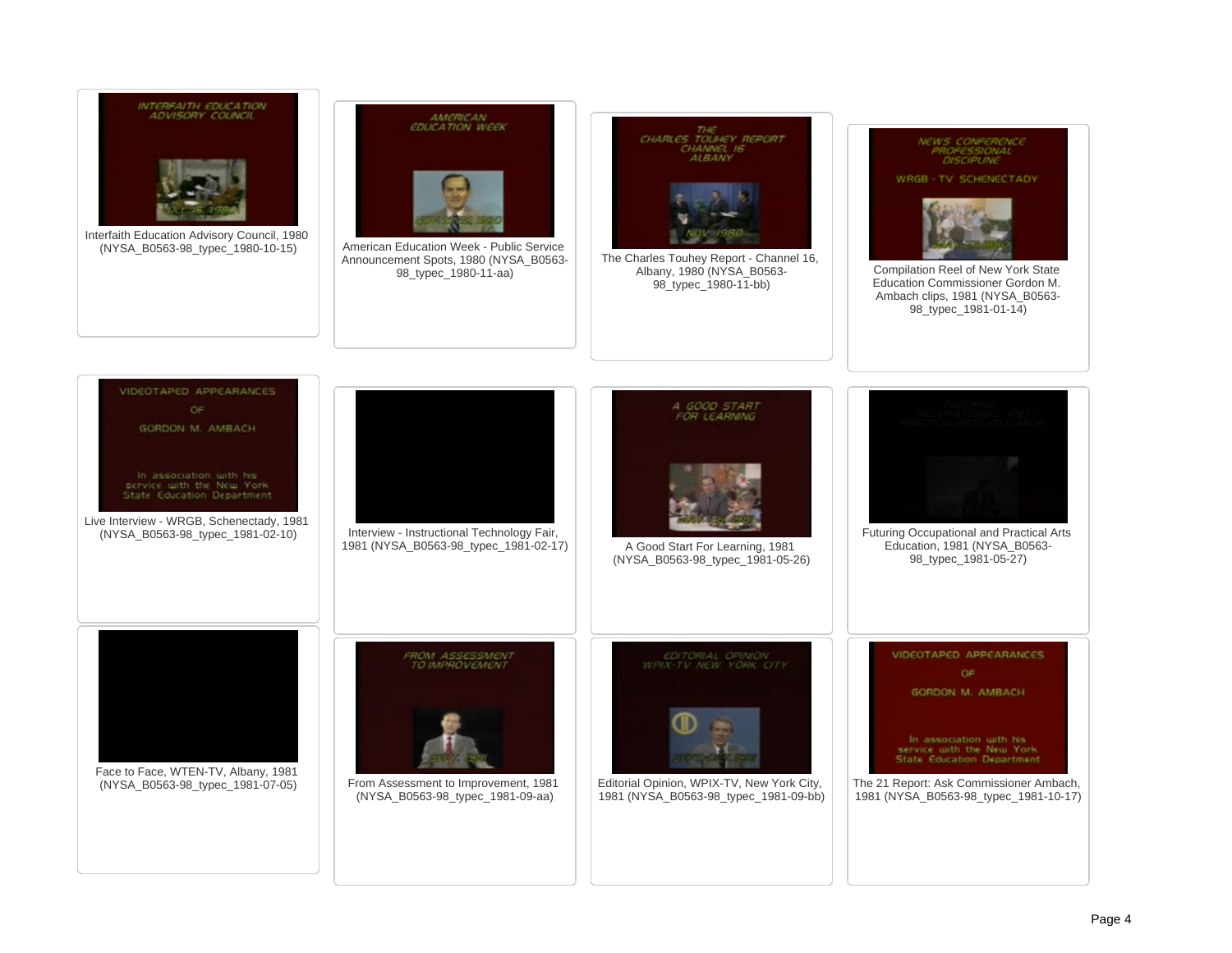